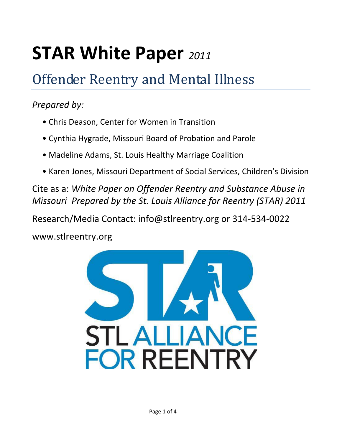## **STAR White Paper** *<sup>2011</sup>*

## Offender Reentry and Mental Illness

## *Prepared by:*

- Chris Deason, Center for Women in Transition
- Cynthia Hygrade, Missouri Board of Probation and Parole
- Madeline Adams, St. Louis Healthy Marriage Coalition
- Karen Jones, Missouri Department of Social Services, Children's Division

Cite as a: *White Paper on Offender Reentry and Substance Abuse in Missouri Prepared by the St. Louis Alliance for Reentry (STAR) 2011* 

Research/Media Contact: info@stlreentry.org or 314-534-0022

www.stlreentry.org

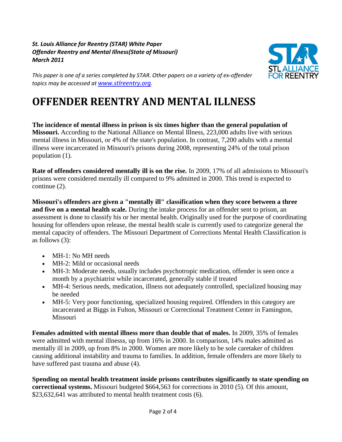*St. Louis Alliance for Reentry (STAR) White Paper Offender Reentry and Mental Illness(State of Missouri) March 2011*



*This paper is one of a series completed by STAR. Other papers on a variety of ex-offender topics may be accessed at [www.stlreentry.org](http://www.stlreentry.org/).* 

## **OFFENDER REENTRY AND MENTAL ILLNESS**

**The incidence of mental illness in prison is six times higher than the general population of Missouri.** According to the National Alliance on Mental Illness, 223,000 adults live with serious mental illness in Missouri, or 4% of the state's population. In contrast, 7,200 adults with a mental illness were incarcerated in Missouri's prisons during 2008, representing 24% of the total prison population (1).

**Rate of offenders considered mentally ill is on the rise.** In 2009, 17% of all admissions to Missouri's prisons were considered mentally ill compared to 9% admitted in 2000. This trend is expected to continue (2).

**Missouri's offenders are given a "mentally ill" classification when they score between a three and five on a mental health scale.** During the intake process for an offender sent to prison, an assessment is done to classify his or her mental health. Originally used for the purpose of coordinating housing for offenders upon release, the mental health scale is currently used to categorize general the mental capacity of offenders. The Missouri Department of Corrections Mental Health Classification is as follows (3):

- MH-1: No MH needs
- MH-2: Mild or occasional needs
- MH-3: Moderate needs, usually includes psychotropic medication, offender is seen once a month by a psychiatrist while incarcerated, generally stable if treated
- MH-4: Serious needs, medication, illness not adequately controlled, specialized housing may be needed
- MH-5: Very poor functioning, specialized housing required. Offenders in this category are incarcerated at Biggs in Fulton, Missouri or Correctional Treatment Center in Famington, Missouri

**Females admitted with mental illness more than double that of males.** In 2009, 35% of females were admitted with mental illnesss, up from 16% in 2000. In comparison, 14% males admitted as mentally ill in 2009, up from 8% in 2000. Women are more likely to be sole caretaker of children causing additional instability and trauma to families. In addition, female offenders are more likely to have suffered past trauma and abuse (4).

**Spending on mental health treatment inside prisons contributes significantly to state spending on correctional systems.** Missouri budgeted \$664,563 for corrections in 2010 (5). Of this amount, \$23,632,641 was attributed to mental health treatment costs (6).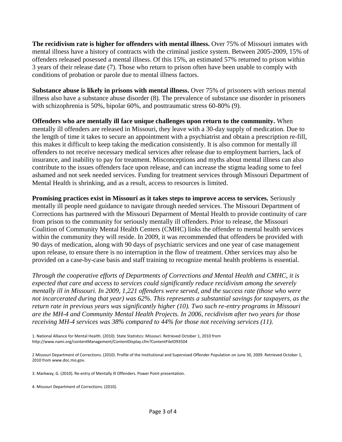**The recidivism rate is higher for offenders with mental illness.** Over 75% of Missouri inmates with mental illness have a history of contracts with the criminal justice system. Between 2005-2009, 15% of offenders released posessed a mental illness. Of this 15%, an estimated 57% returned to prison within 3 years of their release date (7). Those who return to prison often have been unable to comply with conditions of probation or parole due to mental illness factors.

**Substance abuse is likely in prisons with mental illness.** Over 75% of prisoners with serious mental illness also have a substance abuse disorder (8). The prevalence of substance use disorder in prisoners with schizophrenia is 50%, bipolar 60%, and posttraumatic stress 60-80% (9).

**Offenders who are mentally ill face unique challenges upon return to the community.** When mentally ill offenders are released in Missouri, they leave with a 30-day supply of medication. Due to the length of time it takes to secure an appointment with a psychiatrist and obtain a prescription re-fill, this makes it difficult to keep taking the medication consistently. It is also common for mentally ill offenders to not receive necessary medical services after release due to employment barriers, lack of insurance, and inability to pay for treatment. Misconceptions and myths about mental illness can also contribute to the issues offenders face upon release, and can increase the stigma leading some to feel ashamed and not seek needed services. Funding for treatment services through Missouri Department of Mental Health is shrinking, and as a result, access to resources is limited.

**Promising practices exist in Missouri as it takes steps to improve access to services.** Seriously mentally ill people need guidance to navigate through needed services. The Missouri Department of Corrections has partnered with the Missouri Deparment of Mental Health to provide continuity of care from prison to the community for seriously mentally ill offenders. Prior to release, the Missouri Coalition of Community Mental Health Centers (CMHC) links the offender to mental health services within the community they will reside. In 2009, it was recommended that offenders be provided with 90 days of medication, along with 90 days of psychiatric services and one year of case management upon release, to ensure there is no interruption in the flow of treatment. Other services may also be provided on a case-by-case basis and staff training to recognize mental health problems is essential.

*Through the cooperative efforts of Departments of Corrections and Mental Health and CMHC, it is expected that care and access to services could significantly reduce recidivism among the severely mentally ill in Missouri. In 2009, 1,221 offenders were served, and the success rate (those who were not incarcerated during that year) was 62%. This represents a substantial savings for taxpayers, as the return rate in previous years was significantly higher (10). Two such re-entry programs in Missouri are the MH-4 and Community Mental Health Projects. In 2006, recidivism after two years for those receiving MH-4 services was 38% compared to 44% for those not receiving services (11).*

1. National Alliance for Mental Health. (2010). State Statistics: Missouri. Retrieved October 1, 2010 from http://www.nami.org/contentManagement/ContentDisplay.cfm?ContentFileID93504

<sup>2</sup> Missouri Department of Corrections. (2010). Profile of the Institutional and Supervised Offender Population on June 30, 2009. Retrieved October 1, 2010 from www.doc.mo.gov.

<sup>3.</sup> Markway, G. (2010). Re-entry of Mentally Ill Offenders. Power Point presentation.

<sup>4.</sup> Missouri Department of Corrections. (2010).